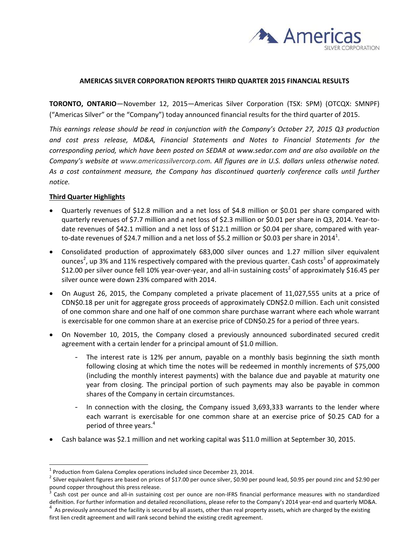

## **AMERICAS SILVER CORPORATION REPORTS THIRD QUARTER 2015 FINANCIAL RESULTS**

**TORONTO, ONTARIO**—November 12, 2015—Americas Silver Corporation (TSX: SPM) (OTCQX: SMNPF) ("Americas Silver" or the "Company") today announced financial results for the third quarter of 2015.

*This earnings release should be read in conjunction with the Company's October 27, 2015 Q3 production and cost press release, MD&A, Financial Statements and Notes to Financial Statements for the corresponding period, which have been posted on SEDAR at www.sedar.com and are also available on the Company's website at www.americassilvercorp.com. All figures are in U.S. dollars unless otherwise noted. As a cost containment measure, the Company has discontinued quarterly conference calls until further notice.* 

# **Third Quarter Highlights**

-

- Quarterly revenues of \$12.8 million and a net loss of \$4.8 million or \$0.01 per share compared with quarterly revenues of \$7.7 million and a net loss of \$2.3 million or \$0.01 per share in Q3, 2014. Year‐to‐ date revenues of \$42.1 million and a net loss of \$12.1 million or \$0.04 per share, compared with yearto-date revenues of \$24.7 million and a net loss of \$5.2 million or \$0.03 per share in 2014<sup>1</sup>.
- Consolidated production of approximately 683,000 silver ounces and 1.27 million silver equivalent ounces<sup>2</sup>, up 3% and 11% respectively compared with the previous quarter. Cash costs<sup>3</sup> of approximately \$12.00 per silver ounce fell 10% year-over-year, and all-in sustaining costs<sup>2</sup> of approximately \$16.45 per silver ounce were down 23% compared with 2014.
- On August 26, 2015, the Company completed a private placement of 11,027,555 units at a price of CDN\$0.18 per unit for aggregate gross proceeds of approximately CDN\$2.0 million. Each unit consisted of one common share and one half of one common share purchase warrant where each whole warrant is exercisable for one common share at an exercise price of CDN\$0.25 for a period of three years.
- On November 10, 2015, the Company closed a previously announced subordinated secured credit agreement with a certain lender for a principal amount of \$1.0 million.
	- The interest rate is 12% per annum, payable on a monthly basis beginning the sixth month following closing at which time the notes will be redeemed in monthly increments of \$75,000 (including the monthly interest payments) with the balance due and payable at maturity one year from closing. The principal portion of such payments may also be payable in common shares of the Company in certain circumstances.
	- In connection with the closing, the Company issued 3,693,333 warrants to the lender where each warrant is exercisable for one common share at an exercise price of \$0.25 CAD for a period of three years.<sup>4</sup>
- Cash balance was \$2.1 million and net working capital was \$11.0 million at September 30, 2015.

<sup>&</sup>lt;sup>1</sup> Production from Galena Complex operations included since December 23, 2014.<br><sup>2</sup> Silver equivalent figures are based on prices of \$17.00 per ounce silver, \$0.90 per pound lead, \$0.95 per pound zinc and \$2.90 per pound copper throughout this press release.<br><sup>3</sup> Cash cost per ounce and all-in sustaining cost per ounce are non-IFRS financial performance measures with no standardized

definition. For further information and detailed reconciliations, please refer to the Company's 2014 year-end and quarterly MD&A.

 $^4$  As previously announced the facility is secured by all assets, other than real property assets, which are charged by the existing first lien credit agreement and will rank second behind the existing credit agreement.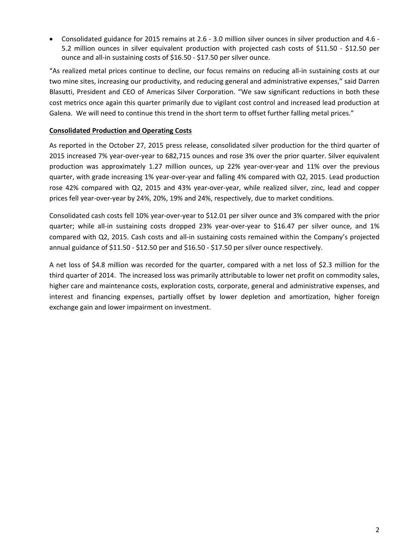Consolidated guidance for 2015 remains at 2.6 ‐ 3.0 million silver ounces in silver production and 4.6 ‐ 5.2 million ounces in silver equivalent production with projected cash costs of \$11.50 - \$12.50 per ounce and all-in sustaining costs of \$16.50 - \$17.50 per silver ounce.

"As realized metal prices continue to decline, our focus remains on reducing all‐in sustaining costs at our two mine sites, increasing our productivity, and reducing general and administrative expenses," said Darren Blasutti, President and CEO of Americas Silver Corporation. "We saw significant reductions in both these cost metrics once again this quarter primarily due to vigilant cost control and increased lead production at Galena. We will need to continue this trend in the short term to offset further falling metal prices."

# **Consolidated Production and Operating Costs**

As reported in the October 27, 2015 press release, consolidated silver production for the third quarter of 2015 increased 7% year‐over‐year to 682,715 ounces and rose 3% over the prior quarter. Silver equivalent production was approximately 1.27 million ounces, up 22% year-over-year and 11% over the previous quarter, with grade increasing 1% year‐over‐year and falling 4% compared with Q2, 2015. Lead production rose 42% compared with Q2, 2015 and 43% year‐over‐year, while realized silver, zinc, lead and copper prices fell year‐over‐year by 24%, 20%, 19% and 24%, respectively, due to market conditions.

Consolidated cash costs fell 10% year‐over‐year to \$12.01 per silver ounce and 3% compared with the prior quarter; while all-in sustaining costs dropped 23% year-over-year to \$16.47 per silver ounce, and 1% compared with Q2, 2015. Cash costs and all-in sustaining costs remained within the Company's projected annual guidance of \$11.50 ‐ \$12.50 per and \$16.50 ‐ \$17.50 per silver ounce respectively.

A net loss of \$4.8 million was recorded for the quarter, compared with a net loss of \$2.3 million for the third quarter of 2014. The increased loss was primarily attributable to lower net profit on commodity sales, higher care and maintenance costs, exploration costs, corporate, general and administrative expenses, and interest and financing expenses, partially offset by lower depletion and amortization, higher foreign exchange gain and lower impairment on investment.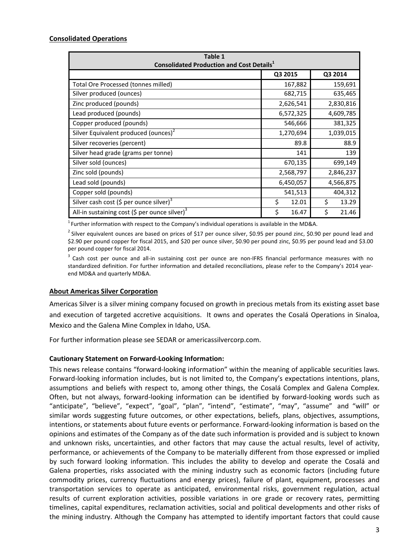# **Consolidated Operations**

| Table 1<br><b>Consolidated Production and Cost Details</b> |             |             |
|------------------------------------------------------------|-------------|-------------|
|                                                            | Q3 2015     | Q3 2014     |
| Total Ore Processed (tonnes milled)                        | 167,882     | 159,691     |
| Silver produced (ounces)                                   | 682,715     | 635,465     |
| Zinc produced (pounds)                                     | 2,626,541   | 2,830,816   |
| Lead produced (pounds)                                     | 6,572,325   | 4,609,785   |
| Copper produced (pounds)                                   | 546,666     | 381,325     |
| Silver Equivalent produced (ounces) <sup>2</sup>           | 1,270,694   | 1,039,015   |
| Silver recoveries (percent)                                | 89.8        | 88.9        |
| Silver head grade (grams per tonne)                        | 141         | 139         |
| Silver sold (ounces)                                       | 670,135     | 699,149     |
| Zinc sold (pounds)                                         | 2,568,797   | 2,846,237   |
| Lead sold (pounds)                                         | 6,450,057   | 4,566,875   |
| Copper sold (pounds)                                       | 541,513     | 404,312     |
| Silver cash cost (\$ per ounce silver) <sup>3</sup>        | \$<br>12.01 | \$<br>13.29 |
| All-in sustaining cost (\$ per ounce silver) <sup>3</sup>  | \$<br>16.47 | Ś<br>21.46  |

<sup>1</sup> Further information with respect to the Company's individual operations is available in the MD&A.

<sup>2</sup> Silver equivalent ounces are based on prices of \$17 per ounce silver, \$0.95 per pound zinc, \$0.90 per pound lead and \$2.90 per pound copper for fiscal 2015, and \$20 per ounce silver, \$0.90 per pound zinc, \$0.95 per pound lead and \$3.00 per pound copper for fiscal 2014.

 $3$  Cash cost per ounce and all-in sustaining cost per ounce are non-IFRS financial performance measures with no standardized definition. For further information and detailed reconciliations, please refer to the Company's 2014 yearend MD&A and quarterly MD&A.

#### **About Americas Silver Corporation**

Americas Silver is a silver mining company focused on growth in precious metals from its existing asset base and execution of targeted accretive acquisitions. It owns and operates the Cosalá Operations in Sinaloa, Mexico and the Galena Mine Complex in Idaho, USA.

For further information please see SEDAR or americassilvercorp.com.

#### **Cautionary Statement on Forward‐Looking Information:**

This news release contains "forward-looking information" within the meaning of applicable securities laws. Forward-looking information includes, but is not limited to, the Company's expectations intentions, plans, assumptions and beliefs with respect to, among other things, the Cosalá Complex and Galena Complex. Often, but not always, forward‐looking information can be identified by forward‐looking words such as "anticipate", "believe", "expect", "goal", "plan", "intend", "estimate", "may", "assume" and "will" or similar words suggesting future outcomes, or other expectations, beliefs, plans, objectives, assumptions, intentions, or statements about future events or performance. Forward‐looking information is based on the opinions and estimates of the Company as of the date such information is provided and is subject to known and unknown risks, uncertainties, and other factors that may cause the actual results, level of activity, performance, or achievements of the Company to be materially different from those expressed or implied by such forward looking information. This includes the ability to develop and operate the Cosalá and Galena properties, risks associated with the mining industry such as economic factors (including future commodity prices, currency fluctuations and energy prices), failure of plant, equipment, processes and transportation services to operate as anticipated, environmental risks, government regulation, actual results of current exploration activities, possible variations in ore grade or recovery rates, permitting timelines, capital expenditures, reclamation activities, social and political developments and other risks of the mining industry. Although the Company has attempted to identify important factors that could cause